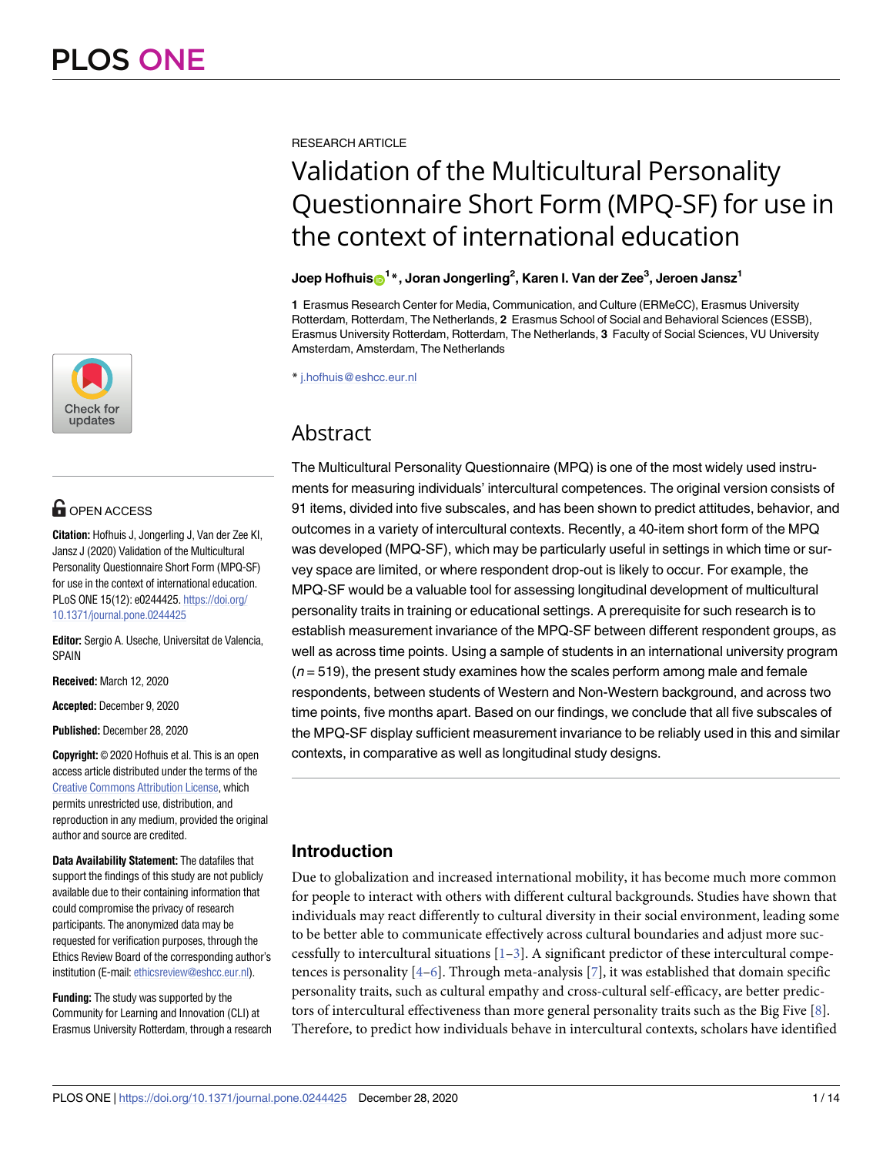

# **OPEN ACCESS**

**Citation:** Hofhuis J, Jongerling J, Van der Zee KI, Jansz J (2020) Validation of the Multicultural Personality Questionnaire Short Form (MPQ-SF) for use in the context of international education. PLoS ONE 15(12): e0244425. [https://doi.org/](https://doi.org/10.1371/journal.pone.0244425) [10.1371/journal.pone.0244425](https://doi.org/10.1371/journal.pone.0244425)

**Editor:** Sergio A. Useche, Universitat de Valencia, SPAIN

**Received:** March 12, 2020

**Accepted:** December 9, 2020

**Published:** December 28, 2020

**Copyright:** © 2020 Hofhuis et al. This is an open access article distributed under the terms of the Creative Commons [Attribution](http://creativecommons.org/licenses/by/4.0/) License, which permits unrestricted use, distribution, and reproduction in any medium, provided the original author and source are credited.

**Data Availability Statement:** The datafiles that support the findings of this study are not publicly available due to their containing information that could compromise the privacy of research participants. The anonymized data may be requested for verification purposes, through the Ethics Review Board of the corresponding author's institution (E-mail: [ethicsreview@eshcc.eur.nl\)](mailto:ethicsreview@eshcc.eur.nl).

**Funding:** The study was supported by the Community for Learning and Innovation (CLI) at Erasmus University Rotterdam, through a research <span id="page-0-0"></span>RESEARCH ARTICLE

# Validation of the Multicultural Personality Questionnaire Short Form (MPQ-SF) for use in the context of international education

# $\bf{J}$ oep <code>Hofhuis $\bf{D}^{1*}$ , <code>Joran</code> <code>Jongerling $^2$ , <code>Karen</code> I. <code>Van</code> der Zee $^3$ , <code>Jeroen</code> <code>Jansz $^1$ </code></code></code>

**1** Erasmus Research Center for Media, Communication, and Culture (ERMeCC), Erasmus University Rotterdam, Rotterdam, The Netherlands, **2** Erasmus School of Social and Behavioral Sciences (ESSB), Erasmus University Rotterdam, Rotterdam, The Netherlands, **3** Faculty of Social Sciences, VU University Amsterdam, Amsterdam, The Netherlands

\* j.hofhuis@eshcc.eur.nl

# Abstract

The Multicultural Personality Questionnaire (MPQ) is one of the most widely used instruments for measuring individuals' intercultural competences. The original version consists of 91 items, divided into five subscales, and has been shown to predict attitudes, behavior, and outcomes in a variety of intercultural contexts. Recently, a 40-item short form of the MPQ was developed (MPQ-SF), which may be particularly useful in settings in which time or survey space are limited, or where respondent drop-out is likely to occur. For example, the MPQ-SF would be a valuable tool for assessing longitudinal development of multicultural personality traits in training or educational settings. A prerequisite for such research is to establish measurement invariance of the MPQ-SF between different respondent groups, as well as across time points. Using a sample of students in an international university program  $(n = 519)$ , the present study examines how the scales perform among male and female respondents, between students of Western and Non-Western background, and across two time points, five months apart. Based on our findings, we conclude that all five subscales of the MPQ-SF display sufficient measurement invariance to be reliably used in this and similar contexts, in comparative as well as longitudinal study designs.

# **Introduction**

Due to globalization and increased international mobility, it has become much more common for people to interact with others with different cultural backgrounds. Studies have shown that individuals may react differently to cultural diversity in their social environment, leading some to be better able to communicate effectively across cultural boundaries and adjust more successfully to intercultural situations  $[1-3]$ . A significant predictor of these intercultural competences is personality  $[4-6]$ . Through meta-analysis [\[7](#page-11-0)], it was established that domain specific personality traits, such as cultural empathy and cross-cultural self-efficacy, are better predictors of intercultural effectiveness than more general personality traits such as the Big Five [[8\]](#page-11-0). Therefore, to predict how individuals behave in intercultural contexts, scholars have identified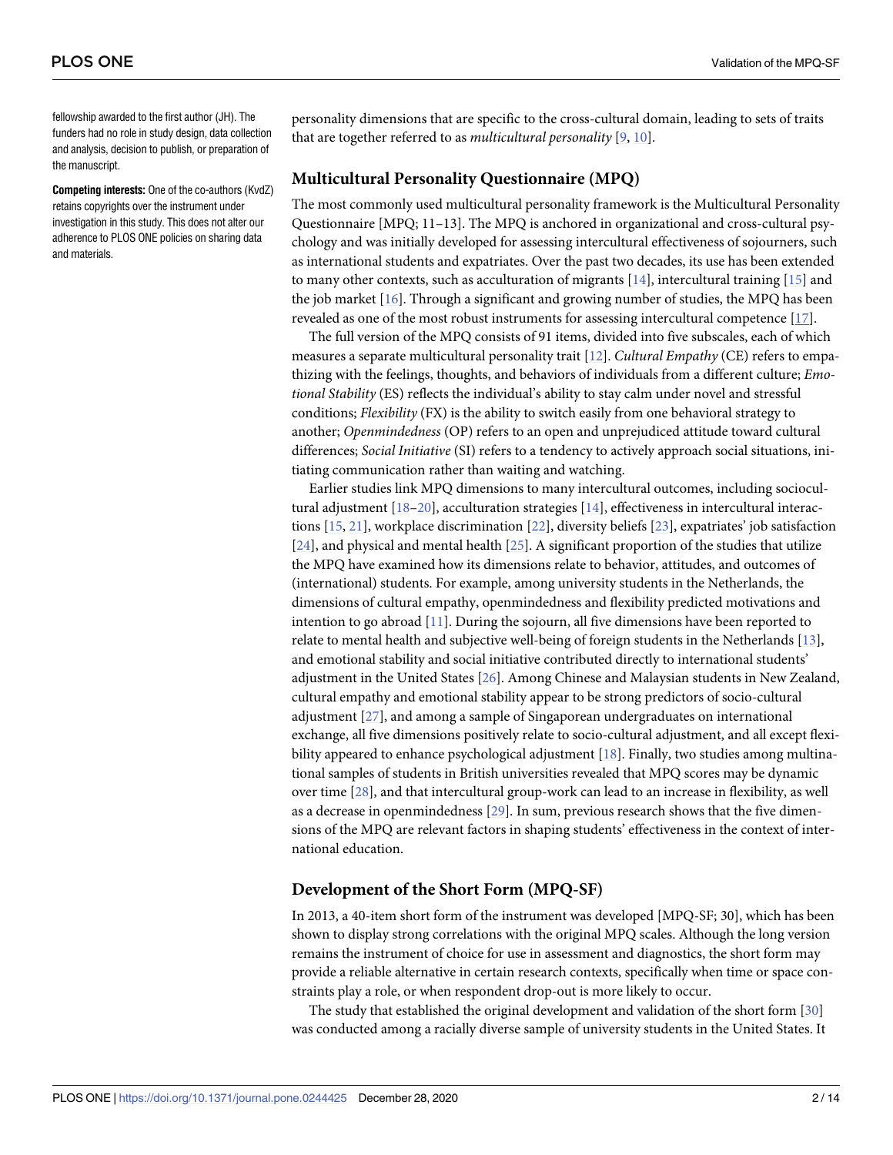<span id="page-1-0"></span>fellowship awarded to the first author (JH). The funders had no role in study design, data collection and analysis, decision to publish, or preparation of the manuscript.

**Competing interests:** One of the co-authors (KvdZ) retains copyrights over the instrument under investigation in this study. This does not alter our adherence to PLOS ONE policies on sharing data and materials.

personality dimensions that are specific to the cross-cultural domain, leading to sets of traits that are together referred to as *multicultural personality* [\[9,](#page-11-0) [10\]](#page-11-0).

#### **Multicultural Personality Questionnaire (MPQ)**

The most commonly used multicultural personality framework is the Multicultural Personality Questionnaire [MPQ; 11–13]. The MPQ is anchored in organizational and cross-cultural psychology and was initially developed for assessing intercultural effectiveness of sojourners, such as international students and expatriates. Over the past two decades, its use has been extended to many other contexts, such as acculturation of migrants  $[14]$  $[14]$  $[14]$ , intercultural training  $[15]$  $[15]$  $[15]$  and the job market [[16](#page-12-0)]. Through a significant and growing number of studies, the MPQ has been revealed as one of the most robust instruments for assessing intercultural competence [\[17\]](#page-12-0).

The full version of the MPQ consists of 91 items, divided into five subscales, each of which measures a separate multicultural personality trait [[12](#page-11-0)]. *Cultural Empathy* (CE) refers to empathizing with the feelings, thoughts, and behaviors of individuals from a different culture; *Emotional Stability* (ES) reflects the individual's ability to stay calm under novel and stressful conditions; *Flexibility* (FX) is the ability to switch easily from one behavioral strategy to another; *Openmindedness* (OP) refers to an open and unprejudiced attitude toward cultural differences; *Social Initiative* (SI) refers to a tendency to actively approach social situations, initiating communication rather than waiting and watching.

Earlier studies link MPQ dimensions to many intercultural outcomes, including sociocultural adjustment [[18–20\]](#page-12-0), acculturation strategies [\[14\]](#page-12-0), effectiveness in intercultural interactions [\[15,](#page-12-0) [21\]](#page-12-0), workplace discrimination [[22](#page-12-0)], diversity beliefs [\[23\]](#page-12-0), expatriates' job satisfaction [\[24\]](#page-12-0), and physical and mental health [[25](#page-12-0)]. A significant proportion of the studies that utilize the MPQ have examined how its dimensions relate to behavior, attitudes, and outcomes of (international) students. For example, among university students in the Netherlands, the dimensions of cultural empathy, openmindedness and flexibility predicted motivations and intention to go abroad  $[11]$  $[11]$  $[11]$ . During the sojourn, all five dimensions have been reported to relate to mental health and subjective well-being of foreign students in the Netherlands [\[13\]](#page-11-0), and emotional stability and social initiative contributed directly to international students' adjustment in the United States [[26](#page-12-0)]. Among Chinese and Malaysian students in New Zealand, cultural empathy and emotional stability appear to be strong predictors of socio-cultural adjustment [[27](#page-12-0)], and among a sample of Singaporean undergraduates on international exchange, all five dimensions positively relate to socio-cultural adjustment, and all except flexibility appeared to enhance psychological adjustment [[18](#page-12-0)]. Finally, two studies among multinational samples of students in British universities revealed that MPQ scores may be dynamic over time [\[28\]](#page-12-0), and that intercultural group-work can lead to an increase in flexibility, as well as a decrease in openmindedness [[29](#page-12-0)]. In sum, previous research shows that the five dimensions of the MPQ are relevant factors in shaping students' effectiveness in the context of international education.

# **Development of the Short Form (MPQ-SF)**

In 2013, a 40-item short form of the instrument was developed [MPQ-SF; 30], which has been shown to display strong correlations with the original MPQ scales. Although the long version remains the instrument of choice for use in assessment and diagnostics, the short form may provide a reliable alternative in certain research contexts, specifically when time or space constraints play a role, or when respondent drop-out is more likely to occur.

The study that established the original development and validation of the short form [\[30\]](#page-12-0) was conducted among a racially diverse sample of university students in the United States. It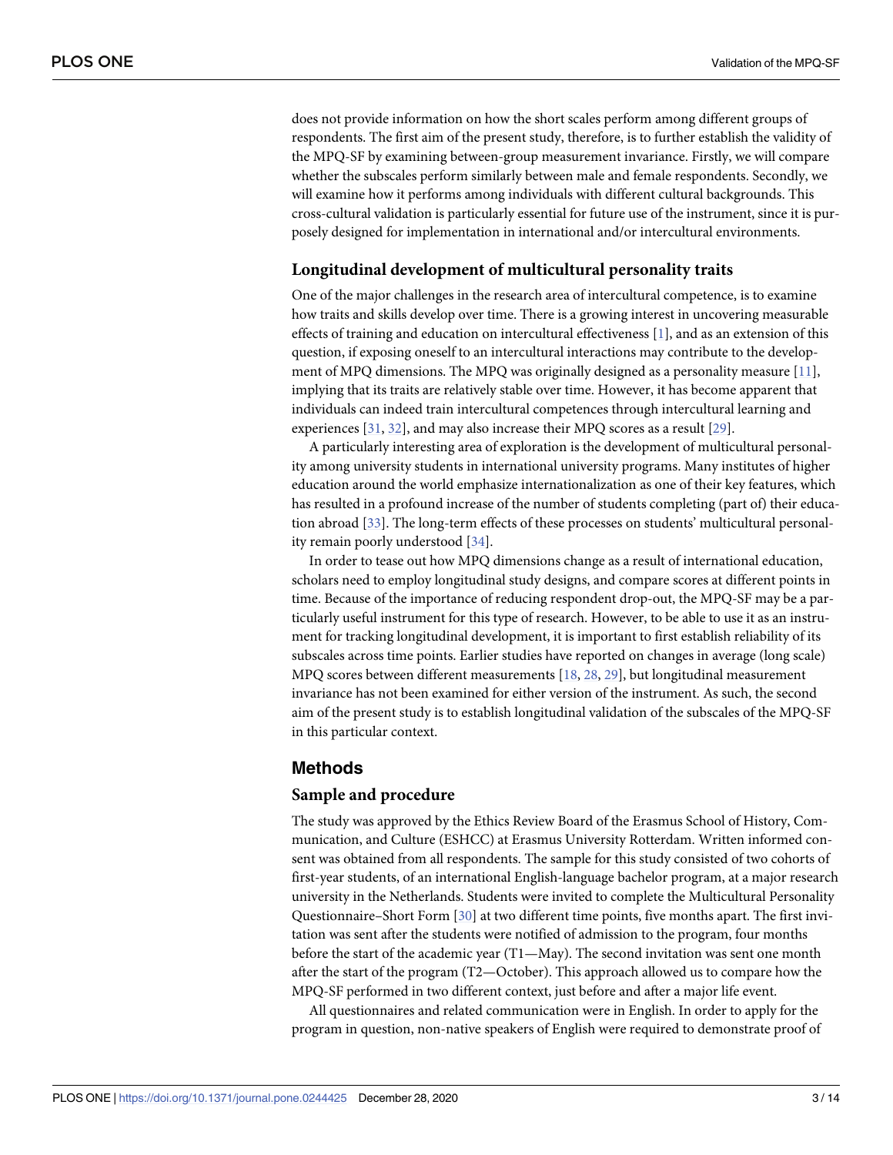<span id="page-2-0"></span>does not provide information on how the short scales perform among different groups of respondents. The first aim of the present study, therefore, is to further establish the validity of the MPQ-SF by examining between-group measurement invariance. Firstly, we will compare whether the subscales perform similarly between male and female respondents. Secondly, we will examine how it performs among individuals with different cultural backgrounds. This cross-cultural validation is particularly essential for future use of the instrument, since it is purposely designed for implementation in international and/or intercultural environments.

#### **Longitudinal development of multicultural personality traits**

One of the major challenges in the research area of intercultural competence, is to examine how traits and skills develop over time. There is a growing interest in uncovering measurable effects of training and education on intercultural effectiveness [[1\]](#page-11-0), and as an extension of this question, if exposing oneself to an intercultural interactions may contribute to the development of MPQ dimensions. The MPQ was originally designed as a personality measure [\[11\]](#page-11-0), implying that its traits are relatively stable over time. However, it has become apparent that individuals can indeed train intercultural competences through intercultural learning and experiences [\[31,](#page-12-0) [32\]](#page-12-0), and may also increase their MPQ scores as a result [[29](#page-12-0)].

A particularly interesting area of exploration is the development of multicultural personality among university students in international university programs. Many institutes of higher education around the world emphasize internationalization as one of their key features, which has resulted in a profound increase of the number of students completing (part of) their education abroad [[33](#page-12-0)]. The long-term effects of these processes on students' multicultural personality remain poorly understood [\[34\]](#page-12-0).

In order to tease out how MPQ dimensions change as a result of international education, scholars need to employ longitudinal study designs, and compare scores at different points in time. Because of the importance of reducing respondent drop-out, the MPQ-SF may be a particularly useful instrument for this type of research. However, to be able to use it as an instrument for tracking longitudinal development, it is important to first establish reliability of its subscales across time points. Earlier studies have reported on changes in average (long scale) MPQ scores between different measurements [\[18,](#page-12-0) [28,](#page-12-0) [29\]](#page-12-0), but longitudinal measurement invariance has not been examined for either version of the instrument. As such, the second aim of the present study is to establish longitudinal validation of the subscales of the MPQ-SF in this particular context.

## **Methods**

#### **Sample and procedure**

The study was approved by the Ethics Review Board of the Erasmus School of History, Communication, and Culture (ESHCC) at Erasmus University Rotterdam. Written informed consent was obtained from all respondents. The sample for this study consisted of two cohorts of first-year students, of an international English-language bachelor program, at a major research university in the Netherlands. Students were invited to complete the Multicultural Personality Questionnaire–Short Form [\[30\]](#page-12-0) at two different time points, five months apart. The first invitation was sent after the students were notified of admission to the program, four months before the start of the academic year (T1—May). The second invitation was sent one month after the start of the program (T2—October). This approach allowed us to compare how the MPQ-SF performed in two different context, just before and after a major life event.

All questionnaires and related communication were in English. In order to apply for the program in question, non-native speakers of English were required to demonstrate proof of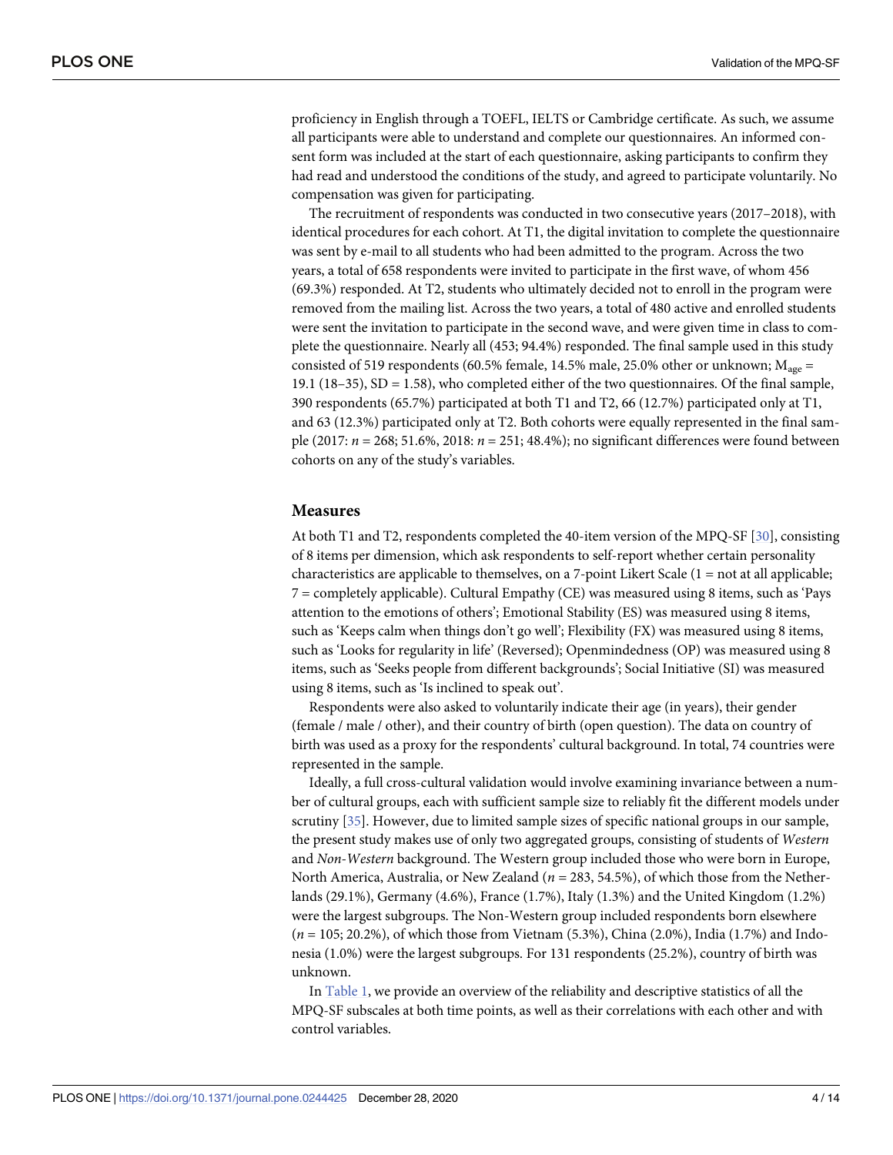<span id="page-3-0"></span>proficiency in English through a TOEFL, IELTS or Cambridge certificate. As such, we assume all participants were able to understand and complete our questionnaires. An informed consent form was included at the start of each questionnaire, asking participants to confirm they had read and understood the conditions of the study, and agreed to participate voluntarily. No compensation was given for participating.

The recruitment of respondents was conducted in two consecutive years (2017–2018), with identical procedures for each cohort. At T1, the digital invitation to complete the questionnaire was sent by e-mail to all students who had been admitted to the program. Across the two years, a total of 658 respondents were invited to participate in the first wave, of whom 456 (69.3%) responded. At T2, students who ultimately decided not to enroll in the program were removed from the mailing list. Across the two years, a total of 480 active and enrolled students were sent the invitation to participate in the second wave, and were given time in class to complete the questionnaire. Nearly all (453; 94.4%) responded. The final sample used in this study consisted of 519 respondents (60.5% female, 14.5% male, 25.0% other or unknown;  $M_{\text{age}} =$ 19.1 (18–35), SD = 1.58), who completed either of the two questionnaires. Of the final sample, 390 respondents (65.7%) participated at both T1 and T2, 66 (12.7%) participated only at T1, and 63 (12.3%) participated only at T2. Both cohorts were equally represented in the final sample (2017: *n* = 268; 51.6%, 2018: *n* = 251; 48.4%); no significant differences were found between cohorts on any of the study's variables.

#### **Measures**

At both T1 and T2, respondents completed the 40-item version of the MPQ-SF [\[30\]](#page-12-0), consisting of 8 items per dimension, which ask respondents to self-report whether certain personality characteristics are applicable to themselves, on a 7-point Likert Scale  $(1 = not at all applicable;$ 7 = completely applicable). Cultural Empathy (CE) was measured using 8 items, such as 'Pays attention to the emotions of others'; Emotional Stability (ES) was measured using 8 items, such as 'Keeps calm when things don't go well'; Flexibility (FX) was measured using 8 items, such as 'Looks for regularity in life' (Reversed); Openmindedness (OP) was measured using 8 items, such as 'Seeks people from different backgrounds'; Social Initiative (SI) was measured using 8 items, such as 'Is inclined to speak out'.

Respondents were also asked to voluntarily indicate their age (in years), their gender (female / male / other), and their country of birth (open question). The data on country of birth was used as a proxy for the respondents' cultural background. In total, 74 countries were represented in the sample.

Ideally, a full cross-cultural validation would involve examining invariance between a number of cultural groups, each with sufficient sample size to reliably fit the different models under scrutiny [\[35\]](#page-12-0). However, due to limited sample sizes of specific national groups in our sample, the present study makes use of only two aggregated groups, consisting of students of *Western* and *Non-Western* background. The Western group included those who were born in Europe, North America, Australia, or New Zealand (*n =* 283, 54.5%), of which those from the Netherlands (29.1%), Germany (4.6%), France (1.7%), Italy (1.3%) and the United Kingdom (1.2%) were the largest subgroups. The Non-Western group included respondents born elsewhere (*n* = 105; 20.2%), of which those from Vietnam (5.3%), China (2.0%), India (1.7%) and Indonesia (1.0%) were the largest subgroups. For 131 respondents (25.2%), country of birth was unknown.

In [Table](#page-4-0) 1, we provide an overview of the reliability and descriptive statistics of all the MPQ-SF subscales at both time points, as well as their correlations with each other and with control variables.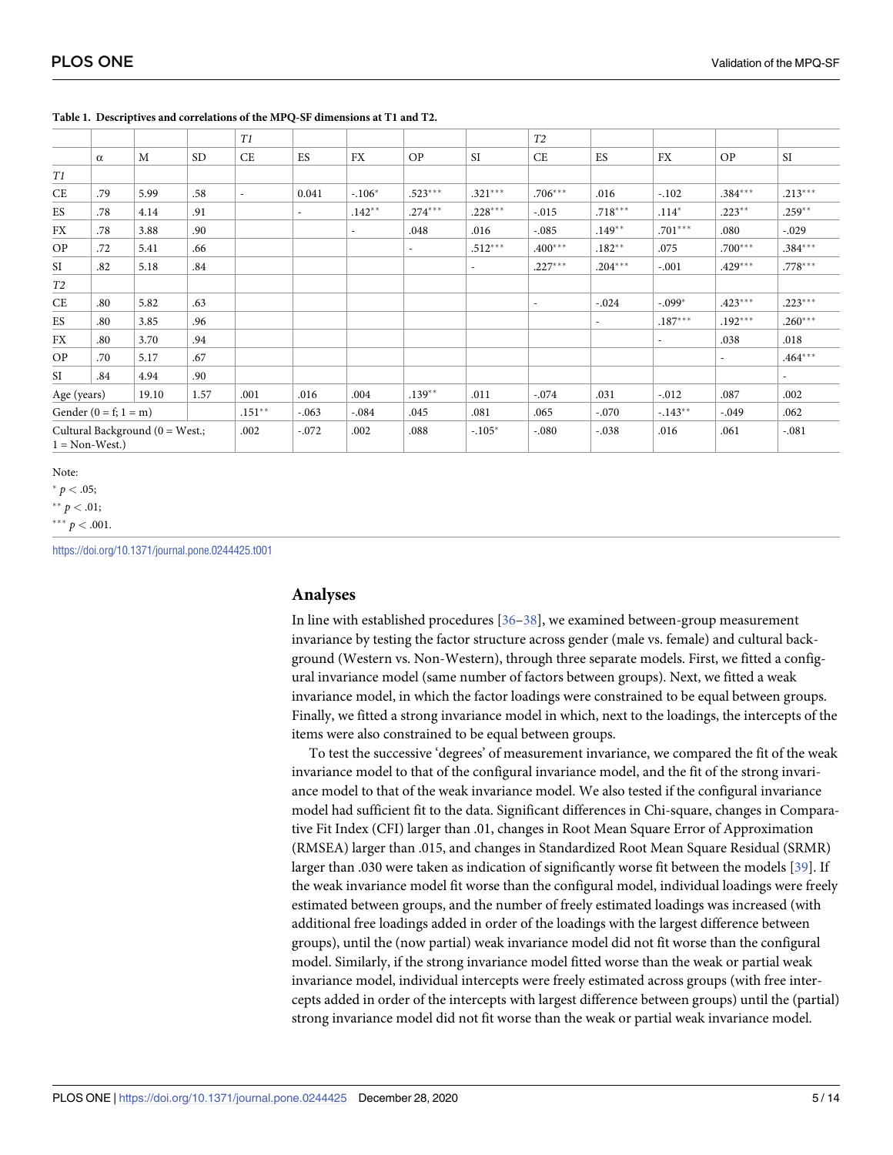|                                                           |          |      |           | T1                       |                          |           |                          |           | T <sub>2</sub> |                          |           |           |                          |
|-----------------------------------------------------------|----------|------|-----------|--------------------------|--------------------------|-----------|--------------------------|-----------|----------------|--------------------------|-----------|-----------|--------------------------|
|                                                           | $\alpha$ | M    | <b>SD</b> | CE                       | ES                       | <b>FX</b> | <b>OP</b>                | SI        | <b>CE</b>      | ES                       | <b>FX</b> | OP        | $\rm SI$                 |
| T1                                                        |          |      |           |                          |                          |           |                          |           |                |                          |           |           |                          |
| CE                                                        | .79      | 5.99 | .58       | $\overline{\phantom{a}}$ | 0.041                    | $-.106*$  | $.523***$                | $.321***$ | $.706***$      | .016                     | $-.102$   | $.384***$ | $.213***$                |
| ES                                                        | .78      | 4.14 | .91       |                          | $\overline{\phantom{a}}$ | $.142**$  | $.274***$                | $.228***$ | $-.015$        | $.718***$                | $.114*$   | $.223***$ | $.259**$                 |
| <b>FX</b>                                                 | .78      | 3.88 | .90       |                          |                          |           | .048                     | .016      | $-.085$        | $.149**$                 | $.701***$ | .080      | $-.029$                  |
| OP                                                        | .72      | 5.41 | .66       |                          |                          |           | $\overline{\phantom{a}}$ | $.512***$ | $.400***$      | $.182**$                 | .075      | $.700***$ | $.384***$                |
| SI                                                        | .82      | 5.18 | .84       |                          |                          |           |                          |           | $.227***$      | $.204***$                | $-.001$   | $.429***$ | $.778***$                |
| T <sub>2</sub>                                            |          |      |           |                          |                          |           |                          |           |                |                          |           |           |                          |
| CE                                                        | .80      | 5.82 | .63       |                          |                          |           |                          |           |                | $-.024$                  | $-.099*$  | $.423***$ | $.223***$                |
| ES                                                        | .80      | 3.85 | .96       |                          |                          |           |                          |           |                | $\overline{\phantom{a}}$ | $.187***$ | $.192***$ | $.260***$                |
| FX                                                        | .80      | 3.70 | .94       |                          |                          |           |                          |           |                |                          |           | .038      | .018                     |
| OP                                                        | .70      | 5.17 | .67       |                          |                          |           |                          |           |                |                          |           |           | $.464***$                |
| SI                                                        | .84      | 4.94 | .90       |                          |                          |           |                          |           |                |                          |           |           | $\overline{\phantom{a}}$ |
| Age (years)<br>19.10                                      |          | 1.57 | .001      | .016                     | .004                     | $.139**$  | .011                     | $-.074$   | .031           | $-.012$                  | .087      | .002      |                          |
| Gender $(0 = f; 1 = m)$                                   |          |      | $.151***$ | $-.063$                  | $-.084$                  | .045      | .081                     | .065      | $-.070$        | $-143**$                 | $-.049$   | .062      |                          |
| Cultural Background (0 = West.;<br>$1 = \text{Non-West.}$ |          |      | .002      | $-.072$                  | .002                     | .088      | $-.105*$                 | $-.080$   | $-.038$        | .016                     | .061      | $-.081$   |                          |

#### <span id="page-4-0"></span>**[Table](#page-3-0) 1. Descriptives and correlations of the MPQ-SF dimensions at T1 and T2.**

Note:

 $* p < .05;$ 

 $*$ <sup>\*</sup> *p* < .01;

 $^{\ast\ast\ast} p < .001$ .

<https://doi.org/10.1371/journal.pone.0244425.t001>

#### **Analyses**

In line with established procedures [\[36–](#page-12-0)[38](#page-13-0)], we examined between-group measurement invariance by testing the factor structure across gender (male vs. female) and cultural background (Western vs. Non-Western), through three separate models. First, we fitted a configural invariance model (same number of factors between groups). Next, we fitted a weak invariance model, in which the factor loadings were constrained to be equal between groups. Finally, we fitted a strong invariance model in which, next to the loadings, the intercepts of the items were also constrained to be equal between groups.

To test the successive 'degrees' of measurement invariance, we compared the fit of the weak invariance model to that of the configural invariance model, and the fit of the strong invariance model to that of the weak invariance model. We also tested if the configural invariance model had sufficient fit to the data. Significant differences in Chi-square, changes in Comparative Fit Index (CFI) larger than .01, changes in Root Mean Square Error of Approximation (RMSEA) larger than .015, and changes in Standardized Root Mean Square Residual (SRMR) larger than .030 were taken as indication of significantly worse fit between the models [[39](#page-13-0)]. If the weak invariance model fit worse than the configural model, individual loadings were freely estimated between groups, and the number of freely estimated loadings was increased (with additional free loadings added in order of the loadings with the largest difference between groups), until the (now partial) weak invariance model did not fit worse than the configural model. Similarly, if the strong invariance model fitted worse than the weak or partial weak invariance model, individual intercepts were freely estimated across groups (with free intercepts added in order of the intercepts with largest difference between groups) until the (partial) strong invariance model did not fit worse than the weak or partial weak invariance model.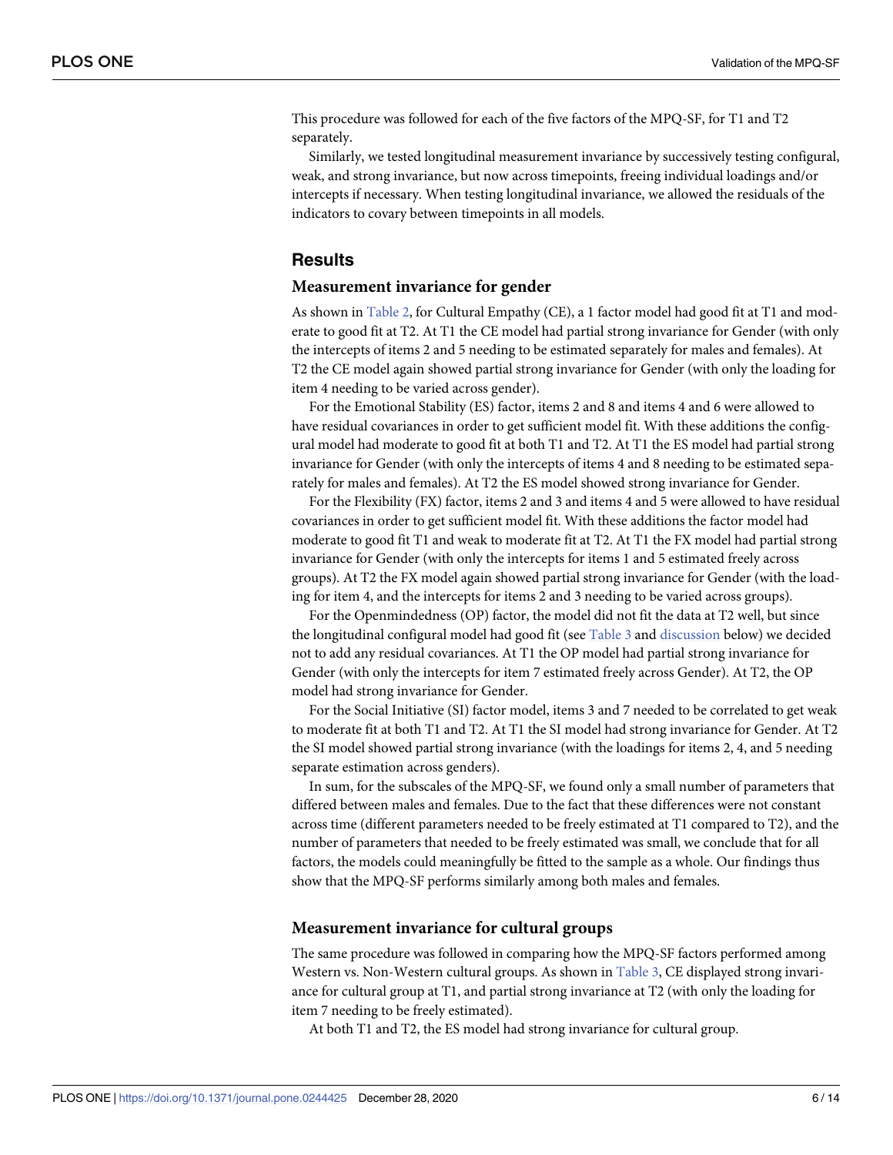<span id="page-5-0"></span>This procedure was followed for each of the five factors of the MPQ-SF, for T1 and T2 separately.

Similarly, we tested longitudinal measurement invariance by successively testing configural, weak, and strong invariance, but now across timepoints, freeing individual loadings and/or intercepts if necessary. When testing longitudinal invariance, we allowed the residuals of the indicators to covary between timepoints in all models.

## **Results**

#### **Measurement invariance for gender**

As shown in [Table](#page-6-0) 2, for Cultural Empathy (CE), a 1 factor model had good fit at T1 and moderate to good fit at T2. At T1 the CE model had partial strong invariance for Gender (with only the intercepts of items 2 and 5 needing to be estimated separately for males and females). At T2 the CE model again showed partial strong invariance for Gender (with only the loading for item 4 needing to be varied across gender).

For the Emotional Stability (ES) factor, items 2 and 8 and items 4 and 6 were allowed to have residual covariances in order to get sufficient model fit. With these additions the configural model had moderate to good fit at both T1 and T2. At T1 the ES model had partial strong invariance for Gender (with only the intercepts of items 4 and 8 needing to be estimated separately for males and females). At T2 the ES model showed strong invariance for Gender.

For the Flexibility (FX) factor, items 2 and 3 and items 4 and 5 were allowed to have residual covariances in order to get sufficient model fit. With these additions the factor model had moderate to good fit T1 and weak to moderate fit at T2. At T1 the FX model had partial strong invariance for Gender (with only the intercepts for items 1 and 5 estimated freely across groups). At T2 the FX model again showed partial strong invariance for Gender (with the loading for item 4, and the intercepts for items 2 and 3 needing to be varied across groups).

For the Openmindedness (OP) factor, the model did not fit the data at T2 well, but since the longitudinal configural model had good fit (see [Table](#page-7-0) 3 and [discussion](#page-9-0) below) we decided not to add any residual covariances. At T1 the OP model had partial strong invariance for Gender (with only the intercepts for item 7 estimated freely across Gender). At T2, the OP model had strong invariance for Gender.

For the Social Initiative (SI) factor model, items 3 and 7 needed to be correlated to get weak to moderate fit at both T1 and T2. At T1 the SI model had strong invariance for Gender. At T2 the SI model showed partial strong invariance (with the loadings for items 2, 4, and 5 needing separate estimation across genders).

In sum, for the subscales of the MPQ-SF, we found only a small number of parameters that differed between males and females. Due to the fact that these differences were not constant across time (different parameters needed to be freely estimated at T1 compared to T2), and the number of parameters that needed to be freely estimated was small, we conclude that for all factors, the models could meaningfully be fitted to the sample as a whole. Our findings thus show that the MPQ-SF performs similarly among both males and females.

#### **Measurement invariance for cultural groups**

The same procedure was followed in comparing how the MPQ-SF factors performed among Western vs. Non-Western cultural groups. As shown in [Table](#page-7-0) 3, CE displayed strong invariance for cultural group at T1, and partial strong invariance at T2 (with only the loading for item 7 needing to be freely estimated).

At both T1 and T2, the ES model had strong invariance for cultural group.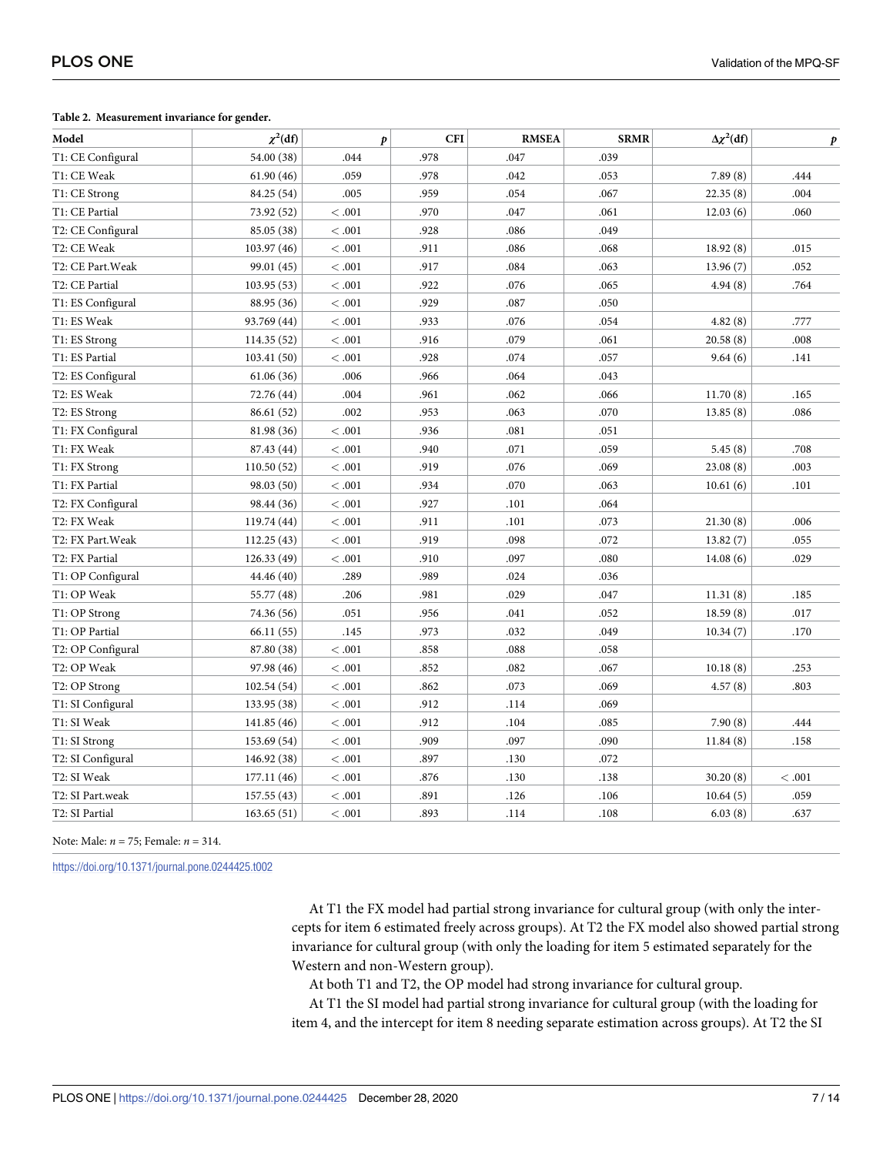#### <span id="page-6-0"></span>**[Table](#page-5-0) 2. Measurement invariance for gender.**

| Model                       | $\chi^2$ (df) | $\boldsymbol{p}$ | <b>CFI</b> | <b>RMSEA</b> | <b>SRMR</b> | $\Delta \chi^2$ (df) | p       |
|-----------------------------|---------------|------------------|------------|--------------|-------------|----------------------|---------|
| T1: CE Configural           | 54.00 (38)    | .044             | .978       | .047         | .039        |                      |         |
| T1: CE Weak                 | 61.90(46)     | .059             | .978       | .042         | .053        | 7.89(8)              | .444    |
| T1: CE Strong               | 84.25 (54)    | .005             | .959       | .054         | .067        | 22.35(8)             | .004    |
| T1: CE Partial              | 73.92 (52)    | < 0.001          | .970       | .047         | .061        | 12.03(6)             | .060    |
| T2: CE Configural           | 85.05 (38)    | < 0.001          | .928       | .086         | .049        |                      |         |
| T2: CE Weak                 | 103.97 (46)   | < 0.001          | .911       | .086         | .068        | 18.92(8)             | .015    |
| T2: CE Part. Weak           | 99.01 (45)    | < 0.001          | .917       | .084         | .063        | 13.96(7)             | .052    |
| T2: CE Partial              | 103.95(53)    | < 0.001          | .922       | .076         | .065        | 4.94(8)              | .764    |
| T1: ES Configural           | 88.95 (36)    | < 0.001          | .929       | .087         | .050        |                      |         |
| T1: ES Weak                 | 93.769 (44)   | < 0.001          | .933       | .076         | .054        | 4.82(8)              | .777    |
| T1: ES Strong               | 114.35(52)    | < 0.001          | .916       | .079         | .061        | 20.58(8)             | .008    |
| T1: ES Partial              | 103.41(50)    | <.001            | .928       | .074         | .057        | 9.64(6)              | .141    |
| T2: ES Configural           | 61.06(36)     | .006             | .966       | .064         | .043        |                      |         |
| T2: ES Weak                 | 72.76 (44)    | .004             | .961       | .062         | .066        | 11.70(8)             | .165    |
| T2: ES Strong               | 86.61 (52)    | .002             | .953       | .063         | .070        | 13.85(8)             | .086    |
| T1: FX Configural           | 81.98 (36)    | <.001            | .936       | .081         | .051        |                      |         |
| T1: FX Weak                 | 87.43 (44)    | < 0.001          | .940       | .071         | .059        | 5.45(8)              | .708    |
| T1: FX Strong               | 110.50(52)    | < 0.001          | .919       | .076         | .069        | 23.08(8)             | .003    |
| T1: FX Partial              | 98.03 (50)    | < 0.001          | .934       | .070         | .063        | 10.61(6)             | .101    |
| T2: FX Configural           | 98.44 (36)    | < 0.001          | .927       | .101         | .064        |                      |         |
| T2: FX Weak                 | 119.74 (44)   | < 0.001          | .911       | .101         | .073        | 21.30(8)             | .006    |
| T2: FX Part. Weak           | 112.25(43)    | < 0.001          | .919       | .098         | .072        | 13.82(7)             | .055    |
| T2: FX Partial              | 126.33(49)    | <.001            | .910       | .097         | .080        | 14.08(6)             | .029    |
| T1: OP Configural           | 44.46 (40)    | .289             | .989       | .024         | .036        |                      |         |
| T1: OP Weak                 | 55.77 (48)    | .206             | .981       | .029         | .047        | 11.31(8)             | .185    |
| T1: OP Strong               | 74.36 (56)    | .051             | .956       | .041         | .052        | 18.59(8)             | .017    |
| T1: OP Partial              | 66.11 (55)    | .145             | .973       | .032         | .049        | 10.34(7)             | .170    |
| T2: OP Configural           | 87.80 (38)    | <.001            | .858       | .088         | .058        |                      |         |
| T2: OP Weak                 | 97.98 (46)    | < 0.001          | .852       | .082         | .067        | 10.18(8)             | .253    |
| T2: OP Strong               | 102.54 (54)   | < 0.001          | .862       | .073         | .069        | 4.57(8)              | .803    |
| T1: SI Configural           | 133.95 (38)   | < 0.001          | .912       | .114         | .069        |                      |         |
| T1: SI Weak                 | 141.85 (46)   | < 0.001          | .912       | .104         | .085        | 7.90(8)              | .444    |
| T1: SI Strong               | 153.69 (54)   | < 0.001          | .909       | .097         | .090        | 11.84(8)             | .158    |
| T2: SI Configural           | 146.92 (38)   | < 0.001          | .897       | .130         | .072        |                      |         |
| $\operatorname{T2:SI}$ Weak | 177.11(46)    | < 0.001          | .876       | .130         | .138        | 30.20(8)             | < 0.001 |
| T2: SI Part.weak            | 157.55(43)    | < 0.001          | .891       | .126         | .106        | 10.64(5)             | .059    |
| T2: SI Partial              | 163.65(51)    | <.001            | .893       | .114         | .108        | 6.03(8)              | .637    |

Note: Male: *n* = 75; Female: *n* = 314.

<https://doi.org/10.1371/journal.pone.0244425.t002>

At T1 the FX model had partial strong invariance for cultural group (with only the intercepts for item 6 estimated freely across groups). At T2 the FX model also showed partial strong invariance for cultural group (with only the loading for item 5 estimated separately for the Western and non-Western group).

At both T1 and T2, the OP model had strong invariance for cultural group.

At T1 the SI model had partial strong invariance for cultural group (with the loading for item 4, and the intercept for item 8 needing separate estimation across groups). At T2 the SI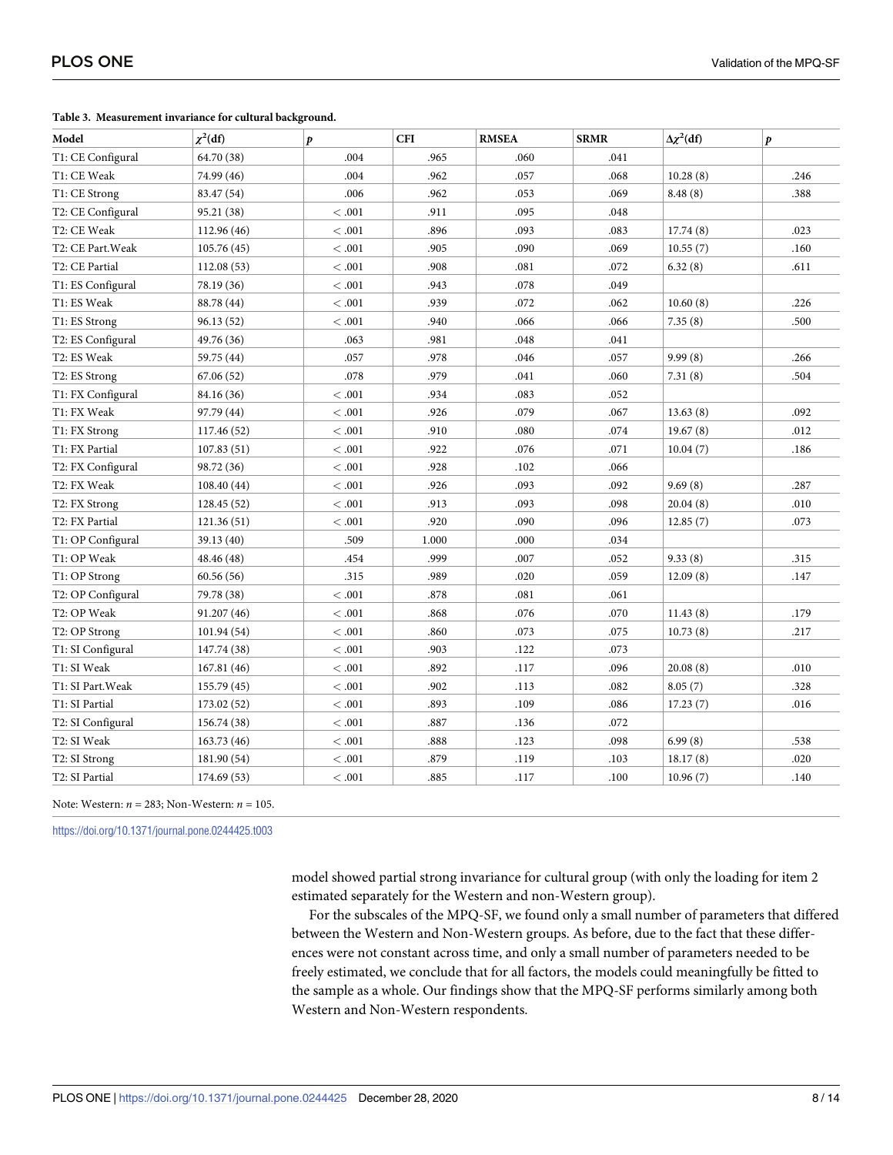<span id="page-7-0"></span>

|  | Table 3. Measurement invariance for cultural background. |  |  |  |
|--|----------------------------------------------------------|--|--|--|
|--|----------------------------------------------------------|--|--|--|

| Model             | $\chi^2$ (df) | $\boldsymbol{p}$ | <b>CFI</b> | <b>RMSEA</b> | <b>SRMR</b> | $\Delta \chi^2(df)$ | p    |
|-------------------|---------------|------------------|------------|--------------|-------------|---------------------|------|
| T1: CE Configural | 64.70 (38)    | .004             | .965       | .060         | .041        |                     |      |
| T1: CE Weak       | 74.99 (46)    | .004             | .962       | .057         | .068        | 10.28(8)            | .246 |
| T1: CE Strong     | 83.47 (54)    | .006             | .962       | .053         | .069        | 8.48(8)             | .388 |
| T2: CE Configural | 95.21 (38)    | <.001            | .911       | .095         | .048        |                     |      |
| T2: CE Weak       | 112.96 (46)   | <.001            | .896       | .093         | .083        | 17.74(8)            | .023 |
| T2: CE Part. Weak | 105.76(45)    | $<.001$          | .905       | .090         | .069        | 10.55(7)            | .160 |
| T2: CE Partial    | 112.08(53)    | $<.001$          | .908       | .081         | .072        | 6.32(8)             | .611 |
| T1: ES Configural | 78.19 (36)    | <.001            | .943       | .078         | .049        |                     |      |
| T1: ES Weak       | 88.78 (44)    | < .001           | .939       | .072         | .062        | 10.60(8)            | .226 |
| T1: ES Strong     | 96.13(52)     | < .001           | .940       | .066         | .066        | 7.35(8)             | .500 |
| T2: ES Configural | 49.76 (36)    | .063             | .981       | .048         | .041        |                     |      |
| T2: ES Weak       | 59.75 (44)    | .057             | .978       | .046         | .057        | 9.99(8)             | .266 |
| T2: ES Strong     | 67.06(52)     | .078             | .979       | .041         | .060        | 7.31(8)             | .504 |
| T1: FX Configural | 84.16 (36)    | <.001            | .934       | .083         | .052        |                     |      |
| T1: FX Weak       | 97.79 (44)    | < 0.001          | .926       | .079         | .067        | 13.63(8)            | .092 |
| T1: FX Strong     | 117.46 (52)   | <.001            | .910       | .080         | .074        | 19.67(8)            | .012 |
| T1: FX Partial    | 107.83(51)    | <.001            | .922       | .076         | .071        | 10.04(7)            | .186 |
| T2: FX Configural | 98.72 (36)    | <.001            | .928       | .102         | .066        |                     |      |
| T2: FX Weak       | 108.40 (44)   | <.001            | .926       | .093         | .092        | 9.69(8)             | .287 |
| T2: FX Strong     | 128.45(52)    | <.001            | .913       | .093         | .098        | 20.04(8)            | .010 |
| T2: FX Partial    | 121.36(51)    | <.001            | .920       | .090         | .096        | 12.85(7)            | .073 |
| T1: OP Configural | 39.13 (40)    | .509             | 1.000      | .000         | .034        |                     |      |
| T1: OP Weak       | 48.46 (48)    | .454             | .999       | .007         | .052        | 9.33(8)             | .315 |
| T1: OP Strong     | 60.56(56)     | .315             | .989       | .020         | .059        | 12.09(8)            | .147 |
| T2: OP Configural | 79.78 (38)    | < 0.001          | .878       | .081         | .061        |                     |      |
| T2: OP Weak       | 91.207 (46)   | < .001           | .868       | .076         | .070        | 11.43(8)            | .179 |
| T2: OP Strong     | 101.94(54)    | <.001            | .860       | .073         | .075        | 10.73(8)            | .217 |
| T1: SI Configural | 147.74 (38)   | <.001            | .903       | .122         | .073        |                     |      |
| T1: SI Weak       | 167.81 (46)   | <.001            | .892       | .117         | .096        | 20.08(8)            | .010 |
| T1: SI Part. Weak | 155.79 (45)   | $<.001$          | .902       | .113         | .082        | 8.05(7)             | .328 |
| T1: SI Partial    | 173.02 (52)   | $<.001$          | .893       | .109         | .086        | 17.23(7)            | .016 |
| T2: SI Configural | 156.74 (38)   | <.001            | .887       | .136         | .072        |                     |      |
| T2: SI Weak       | 163.73 (46)   | < .001           | .888       | .123         | .098        | 6.99(8)             | .538 |
| T2: SI Strong     | 181.90 (54)   | $<.001$          | .879       | .119         | .103        | 18.17(8)            | .020 |
| T2: SI Partial    | 174.69 (53)   | <.001            | .885       | .117         | .100        | 10.96(7)            | .140 |

Note: Western: *n =* 283; Non-Western: *n* = 105.

<https://doi.org/10.1371/journal.pone.0244425.t003>

model showed partial strong invariance for cultural group (with only the loading for item 2 estimated separately for the Western and non-Western group).

For the subscales of the MPQ-SF, we found only a small number of parameters that differed between the Western and Non-Western groups. As before, due to the fact that these differences were not constant across time, and only a small number of parameters needed to be freely estimated, we conclude that for all factors, the models could meaningfully be fitted to the sample as a whole. Our findings show that the MPQ-SF performs similarly among both Western and Non-Western respondents.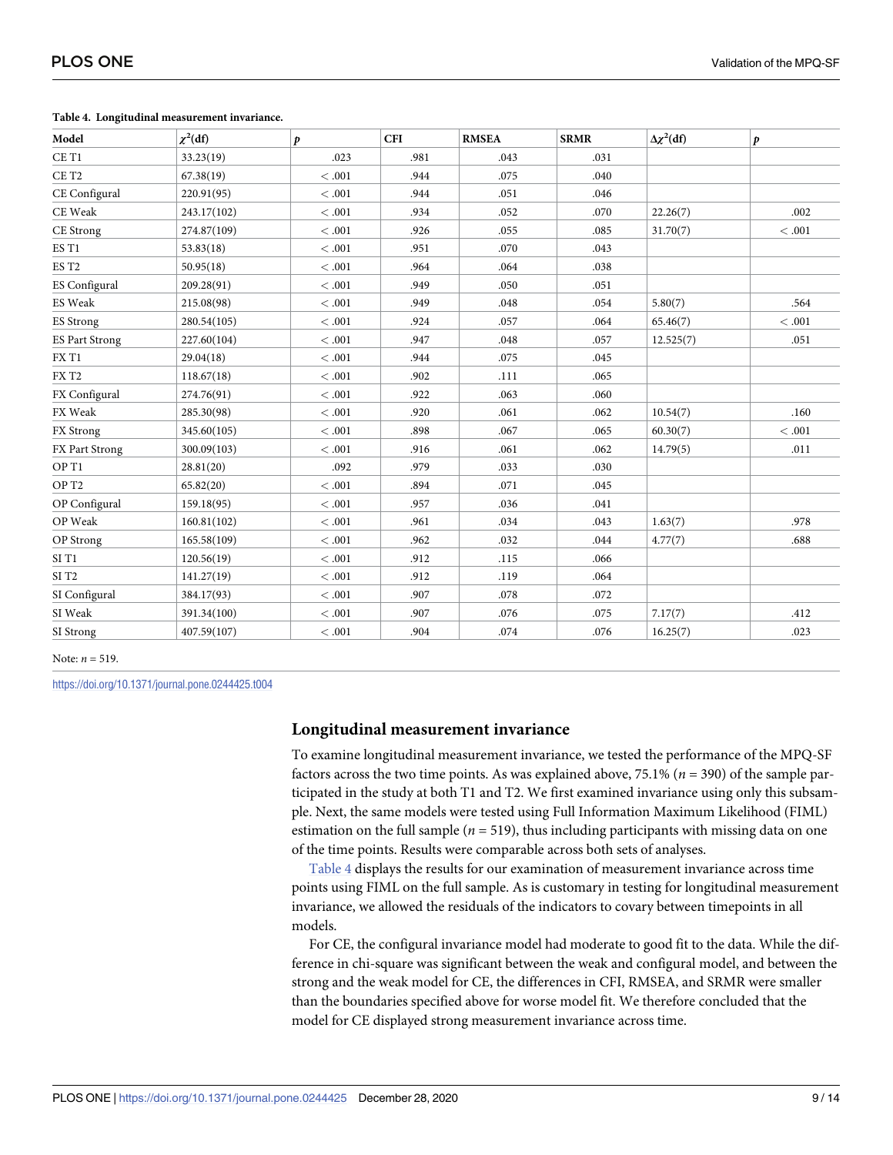| Model                 | $\chi^2(df)$ | $\boldsymbol{p}$ | <b>CFI</b> | <b>RMSEA</b> | <b>SRMR</b> | $\Delta \chi^2(df)$ | $\boldsymbol{p}$ |
|-----------------------|--------------|------------------|------------|--------------|-------------|---------------------|------------------|
| CE T1                 | 33.23(19)    | .023             | .981       | .043         | .031        |                     |                  |
| CE T <sub>2</sub>     | 67.38(19)    | $<.001\,$        | .944       | .075         | .040        |                     |                  |
| CE Configural         | 220.91(95)   | <.001            | .944       | .051         | .046        |                     |                  |
| CE Weak               | 243.17(102)  | <.001            | .934       | .052         | .070        | 22.26(7)            | .002             |
| CE Strong             | 274.87(109)  | $<.001$          | .926       | .055         | .085        | 31.70(7)            | <.001            |
| ES T1                 | 53.83(18)    | $<.001$          | .951       | .070         | .043        |                     |                  |
| ES T <sub>2</sub>     | 50.95(18)    | $<.001$          | .964       | .064         | .038        |                     |                  |
| ES Configural         | 209.28(91)   | <.001            | .949       | .050         | .051        |                     |                  |
| <b>ES</b> Weak        | 215.08(98)   | <.001            | .949       | .048         | .054        | 5.80(7)             | .564             |
| <b>ES Strong</b>      | 280.54(105)  | < 0.001          | .924       | .057         | .064        | 65.46(7)            | <.001            |
| <b>ES Part Strong</b> | 227.60(104)  | $<.001$          | .947       | .048         | .057        | 12.525(7)           | .051             |
| FX T1                 | 29.04(18)    | $<.001$          | .944       | .075         | .045        |                     |                  |
| FXT <sub>2</sub>      | 118.67(18)   | $<.001\,$        | .902       | .111         | .065        |                     |                  |
| FX Configural         | 274.76(91)   | <.001            | .922       | .063         | .060        |                     |                  |
| FX Weak               | 285.30(98)   | <.001            | .920       | .061         | .062        | 10.54(7)            | .160             |
| FX Strong             | 345.60(105)  | < 0.001          | .898       | .067         | .065        | 60.30(7)            | <.001            |
| FX Part Strong        | 300.09(103)  | $<.001$          | .916       | .061         | .062        | 14.79(5)            | .011             |
| OP T1                 | 28.81(20)    | .092             | .979       | .033         | .030        |                     |                  |
| OP <sub>T2</sub>      | 65.82(20)    | <.001            | .894       | .071         | .045        |                     |                  |
| OP Configural         | 159.18(95)   | <.001            | .957       | .036         | .041        |                     |                  |
| OP Weak               | 160.81(102)  | <.001            | .961       | .034         | .043        | 1.63(7)             | .978             |
| OP Strong             | 165.58(109)  | $<.001$          | .962       | .032         | .044        | 4.77(7)             | .688             |
| SIT1                  | 120.56(19)   | <.001            | .912       | .115         | .066        |                     |                  |
| SI T <sub>2</sub>     | 141.27(19)   | $<.001\,$        | .912       | .119         | .064        |                     |                  |
| SI Configural         | 384.17(93)   | < 0.001          | .907       | .078         | .072        |                     |                  |
| SI Weak               | 391.34(100)  | <.001            | .907       | .076         | .075        | 7.17(7)             | .412             |
| SI Strong             | 407.59(107)  | $<.001$          | .904       | .074         | .076        | 16.25(7)            | .023             |

#### **Table 4. Longitudinal measurement invariance.**

Note: *n* = 519.

<https://doi.org/10.1371/journal.pone.0244425.t004>

#### **Longitudinal measurement invariance**

To examine longitudinal measurement invariance, we tested the performance of the MPQ-SF factors across the two time points. As was explained above, 75.1% (*n* = 390) of the sample participated in the study at both T1 and T2. We first examined invariance using only this subsample. Next, the same models were tested using Full Information Maximum Likelihood (FIML) estimation on the full sample  $(n = 519)$ , thus including participants with missing data on one of the time points. Results were comparable across both sets of analyses.

Table 4 displays the results for our examination of measurement invariance across time points using FIML on the full sample. As is customary in testing for longitudinal measurement invariance, we allowed the residuals of the indicators to covary between timepoints in all models.

For CE, the configural invariance model had moderate to good fit to the data. While the difference in chi-square was significant between the weak and configural model, and between the strong and the weak model for CE, the differences in CFI, RMSEA, and SRMR were smaller than the boundaries specified above for worse model fit. We therefore concluded that the model for CE displayed strong measurement invariance across time.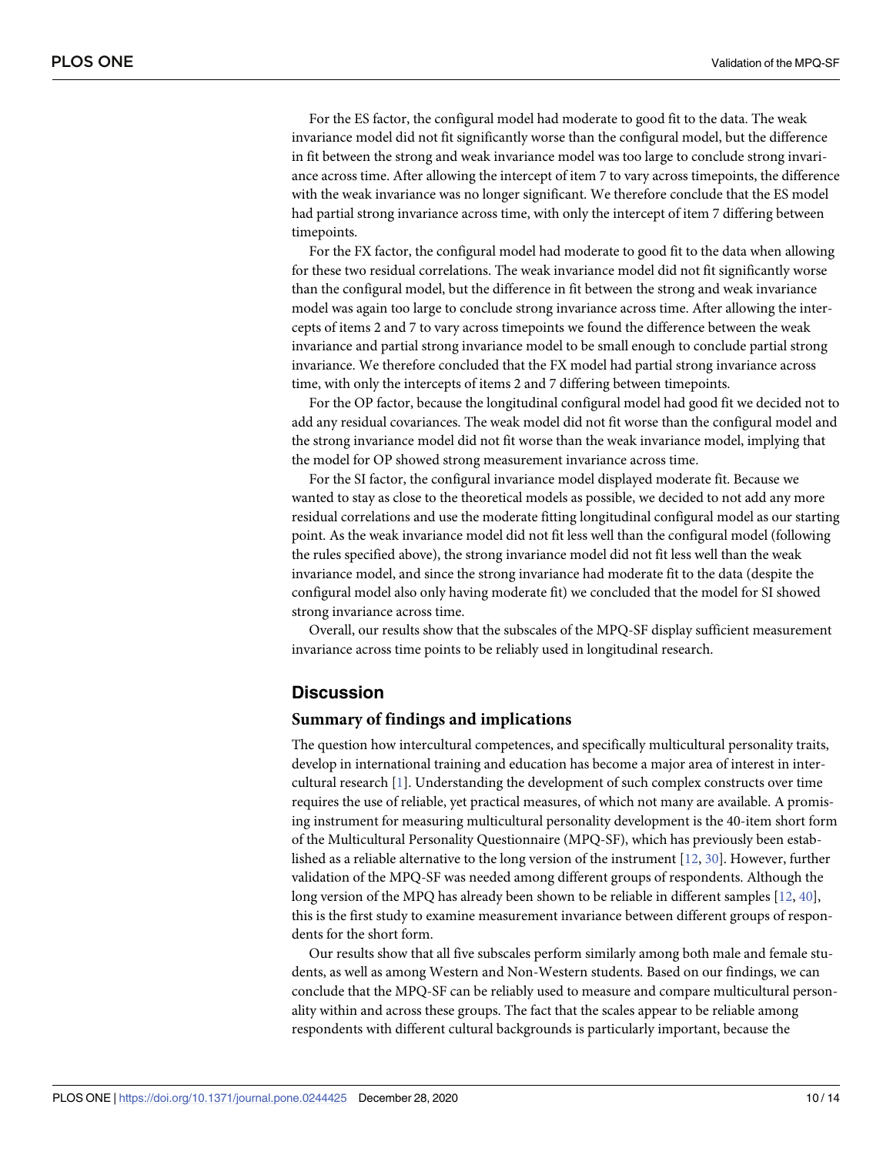<span id="page-9-0"></span>For the ES factor, the configural model had moderate to good fit to the data. The weak invariance model did not fit significantly worse than the configural model, but the difference in fit between the strong and weak invariance model was too large to conclude strong invariance across time. After allowing the intercept of item 7 to vary across timepoints, the difference with the weak invariance was no longer significant. We therefore conclude that the ES model had partial strong invariance across time, with only the intercept of item 7 differing between timepoints.

For the FX factor, the configural model had moderate to good fit to the data when allowing for these two residual correlations. The weak invariance model did not fit significantly worse than the configural model, but the difference in fit between the strong and weak invariance model was again too large to conclude strong invariance across time. After allowing the intercepts of items 2 and 7 to vary across timepoints we found the difference between the weak invariance and partial strong invariance model to be small enough to conclude partial strong invariance. We therefore concluded that the FX model had partial strong invariance across time, with only the intercepts of items 2 and 7 differing between timepoints.

For the OP factor, because the longitudinal configural model had good fit we decided not to add any residual covariances. The weak model did not fit worse than the configural model and the strong invariance model did not fit worse than the weak invariance model, implying that the model for OP showed strong measurement invariance across time.

For the SI factor, the configural invariance model displayed moderate fit. Because we wanted to stay as close to the theoretical models as possible, we decided to not add any more residual correlations and use the moderate fitting longitudinal configural model as our starting point. As the weak invariance model did not fit less well than the configural model (following the rules specified above), the strong invariance model did not fit less well than the weak invariance model, and since the strong invariance had moderate fit to the data (despite the configural model also only having moderate fit) we concluded that the model for SI showed strong invariance across time.

Overall, our results show that the subscales of the MPQ-SF display sufficient measurement invariance across time points to be reliably used in longitudinal research.

# **Discussion**

#### **Summary of findings and implications**

The question how intercultural competences, and specifically multicultural personality traits, develop in international training and education has become a major area of interest in intercultural research [[1\]](#page-11-0). Understanding the development of such complex constructs over time requires the use of reliable, yet practical measures, of which not many are available. A promising instrument for measuring multicultural personality development is the 40-item short form of the Multicultural Personality Questionnaire (MPQ-SF), which has previously been established as a reliable alternative to the long version of the instrument [\[12,](#page-11-0) [30\]](#page-12-0). However, further validation of the MPQ-SF was needed among different groups of respondents. Although the long version of the MPQ has already been shown to be reliable in different samples [\[12](#page-11-0), [40](#page-13-0)], this is the first study to examine measurement invariance between different groups of respondents for the short form.

Our results show that all five subscales perform similarly among both male and female students, as well as among Western and Non-Western students. Based on our findings, we can conclude that the MPQ-SF can be reliably used to measure and compare multicultural personality within and across these groups. The fact that the scales appear to be reliable among respondents with different cultural backgrounds is particularly important, because the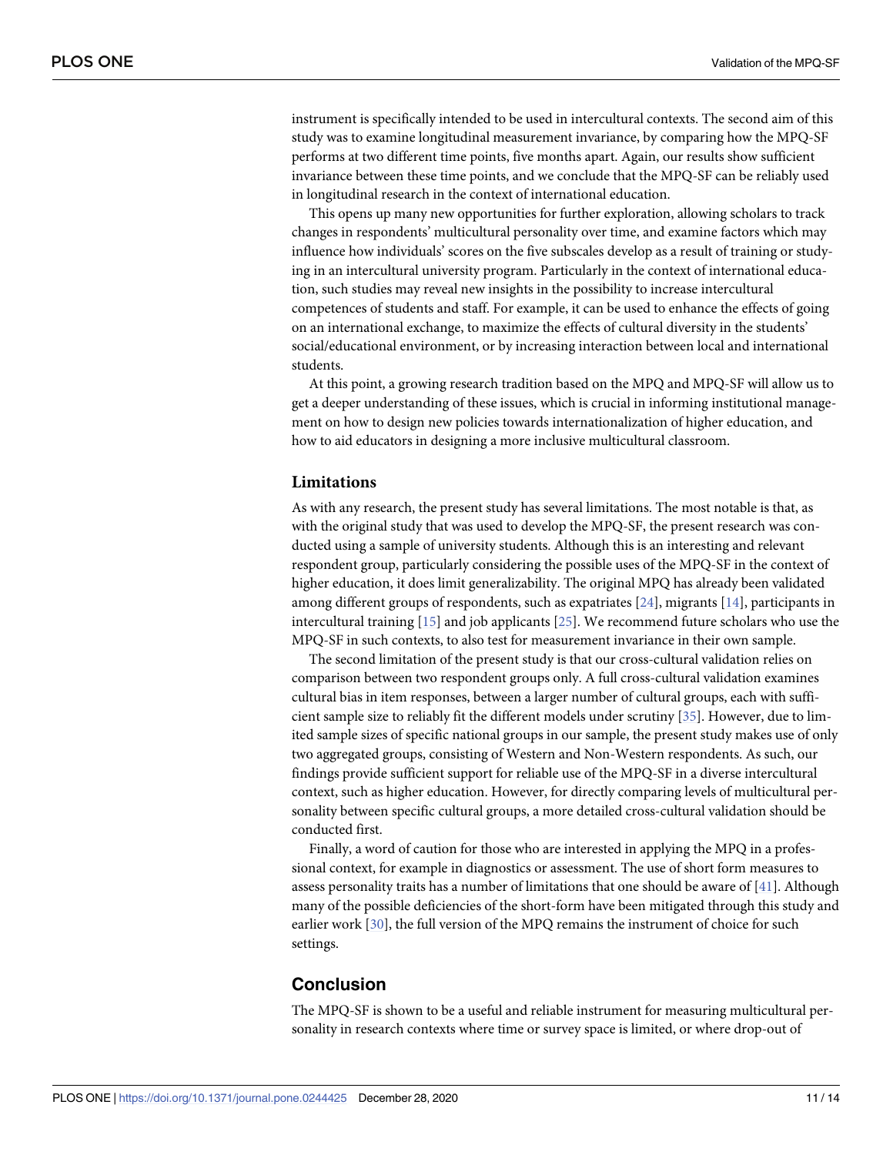<span id="page-10-0"></span>instrument is specifically intended to be used in intercultural contexts. The second aim of this study was to examine longitudinal measurement invariance, by comparing how the MPQ-SF performs at two different time points, five months apart. Again, our results show sufficient invariance between these time points, and we conclude that the MPQ-SF can be reliably used in longitudinal research in the context of international education.

This opens up many new opportunities for further exploration, allowing scholars to track changes in respondents' multicultural personality over time, and examine factors which may influence how individuals' scores on the five subscales develop as a result of training or studying in an intercultural university program. Particularly in the context of international education, such studies may reveal new insights in the possibility to increase intercultural competences of students and staff. For example, it can be used to enhance the effects of going on an international exchange, to maximize the effects of cultural diversity in the students' social/educational environment, or by increasing interaction between local and international students.

At this point, a growing research tradition based on the MPQ and MPQ-SF will allow us to get a deeper understanding of these issues, which is crucial in informing institutional management on how to design new policies towards internationalization of higher education, and how to aid educators in designing a more inclusive multicultural classroom.

#### **Limitations**

As with any research, the present study has several limitations. The most notable is that, as with the original study that was used to develop the MPQ-SF, the present research was conducted using a sample of university students. Although this is an interesting and relevant respondent group, particularly considering the possible uses of the MPQ-SF in the context of higher education, it does limit generalizability. The original MPQ has already been validated among different groups of respondents, such as expatriates [[24](#page-12-0)], migrants [[14](#page-12-0)], participants in intercultural training [[15](#page-12-0)] and job applicants [\[25\]](#page-12-0). We recommend future scholars who use the MPQ-SF in such contexts, to also test for measurement invariance in their own sample.

The second limitation of the present study is that our cross-cultural validation relies on comparison between two respondent groups only. A full cross-cultural validation examines cultural bias in item responses, between a larger number of cultural groups, each with sufficient sample size to reliably fit the different models under scrutiny [\[35\]](#page-12-0). However, due to limited sample sizes of specific national groups in our sample, the present study makes use of only two aggregated groups, consisting of Western and Non-Western respondents. As such, our findings provide sufficient support for reliable use of the MPQ-SF in a diverse intercultural context, such as higher education. However, for directly comparing levels of multicultural personality between specific cultural groups, a more detailed cross-cultural validation should be conducted first.

Finally, a word of caution for those who are interested in applying the MPQ in a professional context, for example in diagnostics or assessment. The use of short form measures to assess personality traits has a number of limitations that one should be aware of [\[41\]](#page-13-0). Although many of the possible deficiencies of the short-form have been mitigated through this study and earlier work [[30](#page-12-0)], the full version of the MPQ remains the instrument of choice for such settings.

## **Conclusion**

The MPQ-SF is shown to be a useful and reliable instrument for measuring multicultural personality in research contexts where time or survey space is limited, or where drop-out of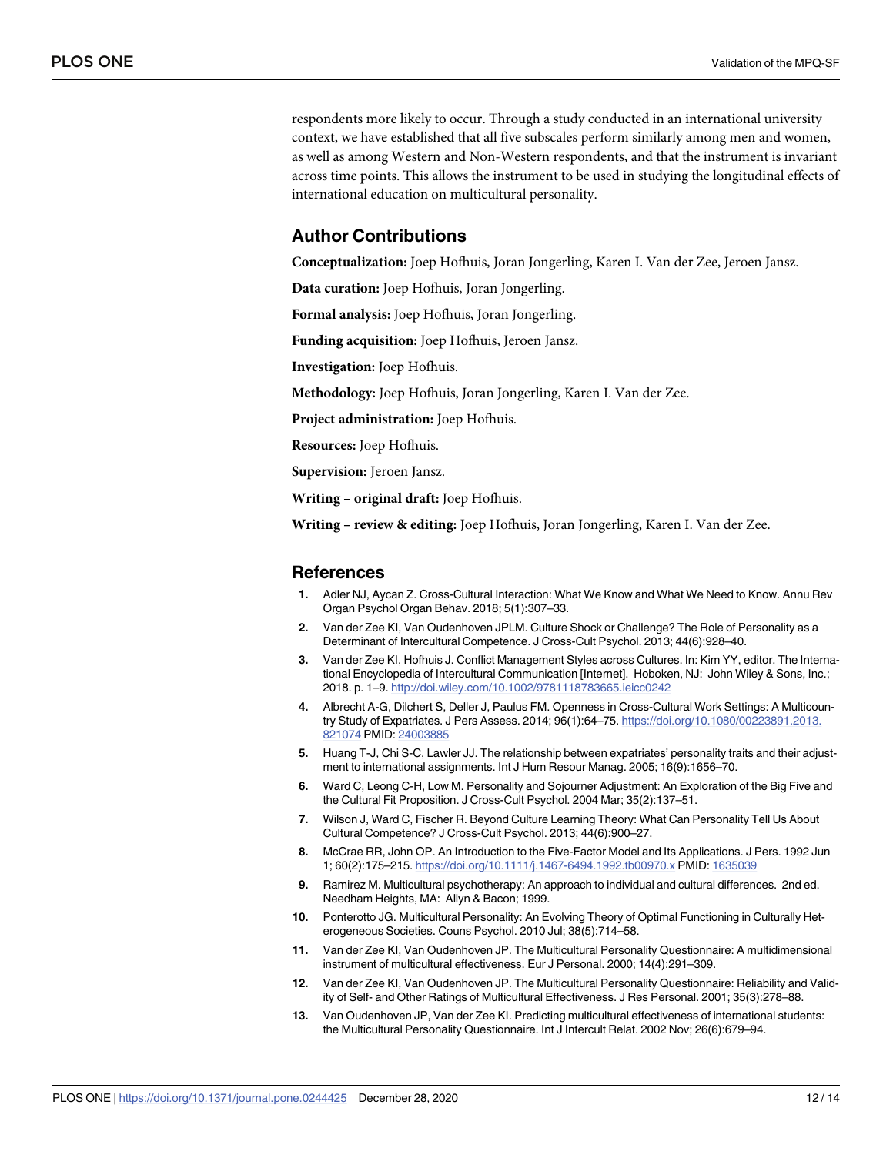<span id="page-11-0"></span>respondents more likely to occur. Through a study conducted in an international university context, we have established that all five subscales perform similarly among men and women, as well as among Western and Non-Western respondents, and that the instrument is invariant across time points. This allows the instrument to be used in studying the longitudinal effects of international education on multicultural personality.

## **Author Contributions**

**Conceptualization:** Joep Hofhuis, Joran Jongerling, Karen I. Van der Zee, Jeroen Jansz.

**Data curation:** Joep Hofhuis, Joran Jongerling.

**Formal analysis:** Joep Hofhuis, Joran Jongerling.

**Funding acquisition:** Joep Hofhuis, Jeroen Jansz.

**Investigation:** Joep Hofhuis.

**Methodology:** Joep Hofhuis, Joran Jongerling, Karen I. Van der Zee.

**Project administration:** Joep Hofhuis.

**Resources:** Joep Hofhuis.

**Supervision:** Jeroen Jansz.

**Writing – original draft:** Joep Hofhuis.

**Writing – review & editing:** Joep Hofhuis, Joran Jongerling, Karen I. Van der Zee.

#### **References**

- **[1](#page-0-0).** Adler NJ, Aycan Z. Cross-Cultural Interaction: What We Know and What We Need to Know. Annu Rev Organ Psychol Organ Behav. 2018; 5(1):307–33.
- **2.** Van der Zee KI, Van Oudenhoven JPLM. Culture Shock or Challenge? The Role of Personality as a Determinant of Intercultural Competence. J Cross-Cult Psychol. 2013; 44(6):928–40.
- **[3](#page-0-0).** Van der Zee KI, Hofhuis J. Conflict Management Styles across Cultures. In: Kim YY, editor. The International Encyclopedia of Intercultural Communication [Internet]. Hoboken, NJ: John Wiley & Sons, Inc.; 2018. p. 1–9. <http://doi.wiley.com/10.1002/9781118783665.ieicc0242>
- **[4](#page-0-0).** Albrecht A-G, Dilchert S, Deller J, Paulus FM. Openness in Cross-Cultural Work Settings: A Multicountry Study of Expatriates. J Pers Assess. 2014; 96(1):64–75. [https://doi.org/10.1080/00223891.2013.](https://doi.org/10.1080/00223891.2013.821074) [821074](https://doi.org/10.1080/00223891.2013.821074) PMID: [24003885](http://www.ncbi.nlm.nih.gov/pubmed/24003885)
- **5.** Huang T-J, Chi S-C, Lawler JJ. The relationship between expatriates' personality traits and their adjustment to international assignments. Int J Hum Resour Manag. 2005; 16(9):1656–70.
- **[6](#page-0-0).** Ward C, Leong C-H, Low M. Personality and Sojourner Adjustment: An Exploration of the Big Five and the Cultural Fit Proposition. J Cross-Cult Psychol. 2004 Mar; 35(2):137–51.
- **[7](#page-0-0).** Wilson J, Ward C, Fischer R. Beyond Culture Learning Theory: What Can Personality Tell Us About Cultural Competence? J Cross-Cult Psychol. 2013; 44(6):900–27.
- **[8](#page-0-0).** McCrae RR, John OP. An Introduction to the Five-Factor Model and Its Applications. J Pers. 1992 Jun 1; 60(2):175–215. <https://doi.org/10.1111/j.1467-6494.1992.tb00970.x> PMID: [1635039](http://www.ncbi.nlm.nih.gov/pubmed/1635039)
- **[9](#page-1-0).** Ramirez M. Multicultural psychotherapy: An approach to individual and cultural differences. 2nd ed. Needham Heights, MA: Allyn & Bacon; 1999.
- **[10](#page-1-0).** Ponterotto JG. Multicultural Personality: An Evolving Theory of Optimal Functioning in Culturally Heterogeneous Societies. Couns Psychol. 2010 Jul; 38(5):714–58.
- **[11](#page-1-0).** Van der Zee KI, Van Oudenhoven JP. The Multicultural Personality Questionnaire: A multidimensional instrument of multicultural effectiveness. Eur J Personal. 2000; 14(4):291–309.
- **[12](#page-1-0).** Van der Zee KI, Van Oudenhoven JP. The Multicultural Personality Questionnaire: Reliability and Validity of Self- and Other Ratings of Multicultural Effectiveness. J Res Personal. 2001; 35(3):278–88.
- **[13](#page-1-0).** Van Oudenhoven JP, Van der Zee KI. Predicting multicultural effectiveness of international students: the Multicultural Personality Questionnaire. Int J Intercult Relat. 2002 Nov; 26(6):679–94.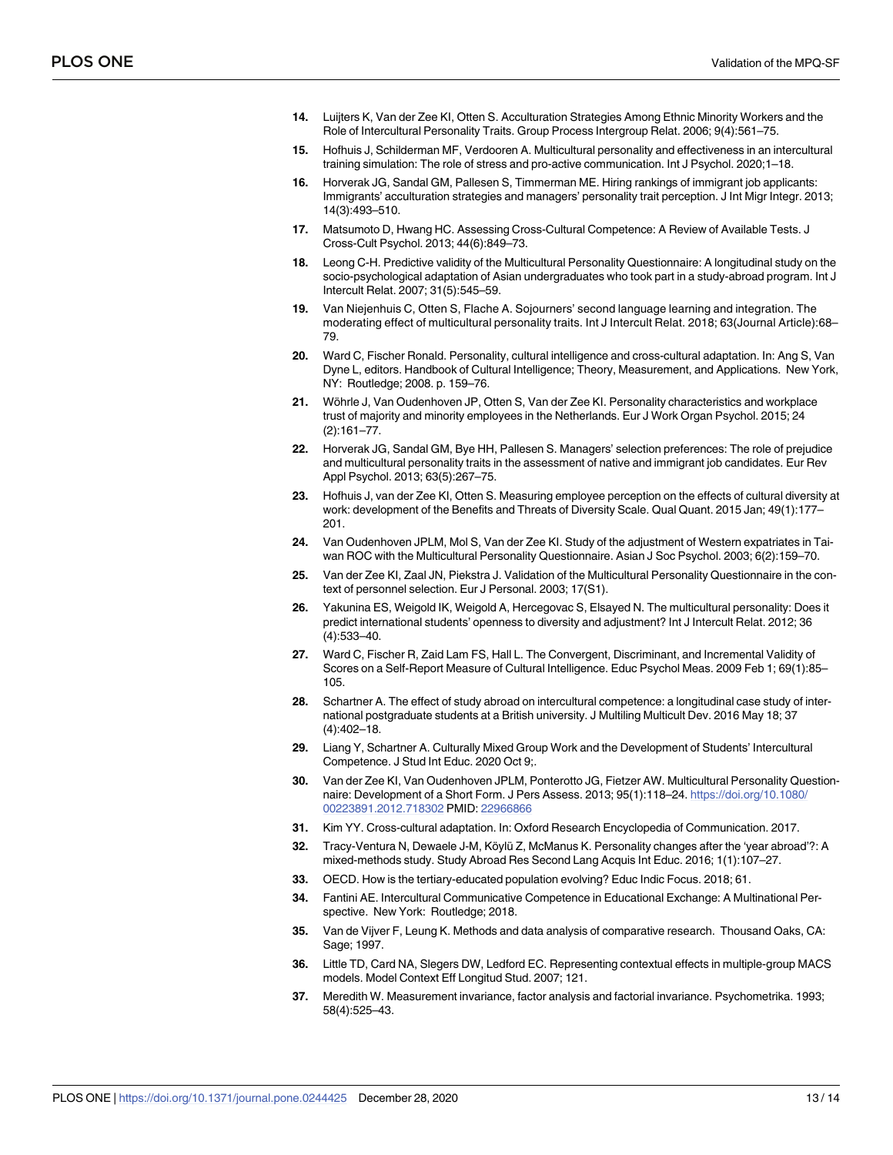- <span id="page-12-0"></span>**[14](#page-1-0).** Luijters K, Van der Zee KI, Otten S. Acculturation Strategies Among Ethnic Minority Workers and the Role of Intercultural Personality Traits. Group Process Intergroup Relat. 2006; 9(4):561–75.
- **[15](#page-1-0).** Hofhuis J, Schilderman MF, Verdooren A. Multicultural personality and effectiveness in an intercultural training simulation: The role of stress and pro-active communication. Int J Psychol. 2020;1–18.
- **[16](#page-1-0).** Horverak JG, Sandal GM, Pallesen S, Timmerman ME. Hiring rankings of immigrant job applicants: Immigrants' acculturation strategies and managers' personality trait perception. J Int Migr Integr. 2013; 14(3):493–510.
- **[17](#page-1-0).** Matsumoto D, Hwang HC. Assessing Cross-Cultural Competence: A Review of Available Tests. J Cross-Cult Psychol. 2013; 44(6):849–73.
- **[18](#page-1-0).** Leong C-H. Predictive validity of the Multicultural Personality Questionnaire: A longitudinal study on the socio-psychological adaptation of Asian undergraduates who took part in a study-abroad program. Int J Intercult Relat. 2007; 31(5):545–59.
- **19.** Van Niejenhuis C, Otten S, Flache A. Sojourners' second language learning and integration. The moderating effect of multicultural personality traits. Int J Intercult Relat. 2018; 63(Journal Article):68– 79.
- **[20](#page-1-0).** Ward C, Fischer Ronald. Personality, cultural intelligence and cross-cultural adaptation. In: Ang S, Van Dyne L, editors. Handbook of Cultural Intelligence; Theory, Measurement, and Applications. New York, NY: Routledge; 2008. p. 159–76.
- [21](#page-1-0). Wöhrle J, Van Oudenhoven JP, Otten S, Van der Zee KI. Personality characteristics and workplace trust of majority and minority employees in the Netherlands. Eur J Work Organ Psychol. 2015; 24 (2):161–77.
- **[22](#page-1-0).** Horverak JG, Sandal GM, Bye HH, Pallesen S. Managers' selection preferences: The role of prejudice and multicultural personality traits in the assessment of native and immigrant job candidates. Eur Rev Appl Psychol. 2013; 63(5):267–75.
- **[23](#page-1-0).** Hofhuis J, van der Zee KI, Otten S. Measuring employee perception on the effects of cultural diversity at work: development of the Benefits and Threats of Diversity Scale. Qual Quant. 2015 Jan; 49(1):177– 201.
- **[24](#page-1-0).** Van Oudenhoven JPLM, Mol S, Van der Zee KI. Study of the adjustment of Western expatriates in Taiwan ROC with the Multicultural Personality Questionnaire. Asian J Soc Psychol. 2003; 6(2):159–70.
- **[25](#page-1-0).** Van der Zee KI, Zaal JN, Piekstra J. Validation of the Multicultural Personality Questionnaire in the context of personnel selection. Eur J Personal. 2003; 17(S1).
- **[26](#page-1-0).** Yakunina ES, Weigold IK, Weigold A, Hercegovac S, Elsayed N. The multicultural personality: Does it predict international students' openness to diversity and adjustment? Int J Intercult Relat. 2012; 36 (4):533–40.
- **[27](#page-1-0).** Ward C, Fischer R, Zaid Lam FS, Hall L. The Convergent, Discriminant, and Incremental Validity of Scores on a Self-Report Measure of Cultural Intelligence. Educ Psychol Meas. 2009 Feb 1; 69(1):85– 105.
- **[28](#page-1-0).** Schartner A. The effect of study abroad on intercultural competence: a longitudinal case study of international postgraduate students at a British university. J Multiling Multicult Dev. 2016 May 18; 37 (4):402–18.
- **[29](#page-1-0).** Liang Y, Schartner A. Culturally Mixed Group Work and the Development of Students' Intercultural Competence. J Stud Int Educ. 2020 Oct 9;.
- **[30](#page-1-0).** Van der Zee KI, Van Oudenhoven JPLM, Ponterotto JG, Fietzer AW. Multicultural Personality Questionnaire: Development of a Short Form. J Pers Assess. 2013; 95(1):118–24. [https://doi.org/10.1080/](https://doi.org/10.1080/00223891.2012.718302) [00223891.2012.718302](https://doi.org/10.1080/00223891.2012.718302) PMID: [22966866](http://www.ncbi.nlm.nih.gov/pubmed/22966866)
- **[31](#page-2-0).** Kim YY. Cross-cultural adaptation. In: Oxford Research Encyclopedia of Communication. 2017.
- **[32](#page-2-0).** Tracy-Ventura N, Dewaele J-M, Köylü Z, McManus K. Personality changes after the 'year abroad'?: A mixed-methods study. Study Abroad Res Second Lang Acquis Int Educ. 2016; 1(1):107–27.
- **[33](#page-2-0).** OECD. How is the tertiary-educated population evolving? Educ Indic Focus. 2018; 61.
- **[34](#page-2-0).** Fantini AE. Intercultural Communicative Competence in Educational Exchange: A Multinational Perspective. New York: Routledge; 2018.
- **[35](#page-3-0).** Van de Vijver F, Leung K. Methods and data analysis of comparative research. Thousand Oaks, CA: Sage; 1997.
- **[36](#page-4-0).** Little TD, Card NA, Slegers DW, Ledford EC. Representing contextual effects in multiple-group MACS models. Model Context Eff Longitud Stud. 2007; 121.
- **37.** Meredith W. Measurement invariance, factor analysis and factorial invariance. Psychometrika. 1993; 58(4):525–43.